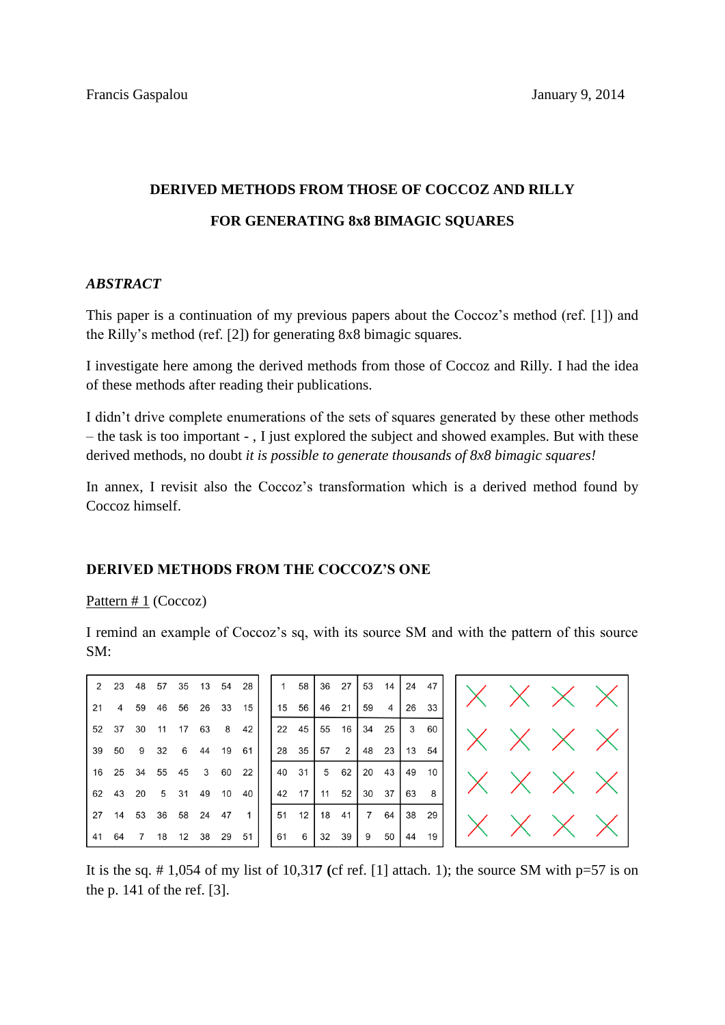# **DERIVED METHODS FROM THOSE OF COCCOZ AND RILLY FOR GENERATING 8x8 BIMAGIC SOUARES**

# *ABSTRACT*

This paper is a continuation of my previous papers about the Coccoz's method (ref. [1]) and the Rilly's method (ref. [2]) for generating 8x8 bimagic squares.

I investigate here among the derived methods from those of Coccoz and Rilly. I had the idea of these methods after reading their publications.

I didn't drive complete enumerations of the sets of squares generated by these other methods – the task is too important - , I just explored the subject and showed examples. But with these derived methods, no doubt *it is possible to generate thousands of 8x8 bimagic squares!*

In annex, I revisit also the Coccoz's transformation which is a derived method found by Coccoz himself.

# **DERIVED METHODS FROM THE COCCOZ'S ONE**

 $\overline{1}$ 

 $\overline{2}$ 

 $6\phantom{1}6$  $\boldsymbol{9}$ 

 $\overline{4}$ 

## Pattern  $# 1$  (Coccoz)

I remind an example of Coccoz's sq, with its source SM and with the pattern of this source SM:

 $\overline{7}$ 

| 2 23 48 57 35 13 54 28        |  |  |  |
|-------------------------------|--|--|--|
| 21  4  59  46  56  26  33  15 |  |  |  |
| 52 37 30 11 17 63 8 42        |  |  |  |
| 39 50 9 32 6 44 19 61         |  |  |  |
| 16  25  34  55  45  3  60  22 |  |  |  |
| 62 43 20 5 31 49 10 40        |  |  |  |
| 27 14 53 36 58 24 47 1        |  |  |  |
| 41 64 7 18 12 38 29 51        |  |  |  |



It is the sq.  $\# 1,054$  of my list of 10,317 (cf ref. [1] attach. 1); the source SM with  $p=57$  is on the p. 141 of the ref. [3].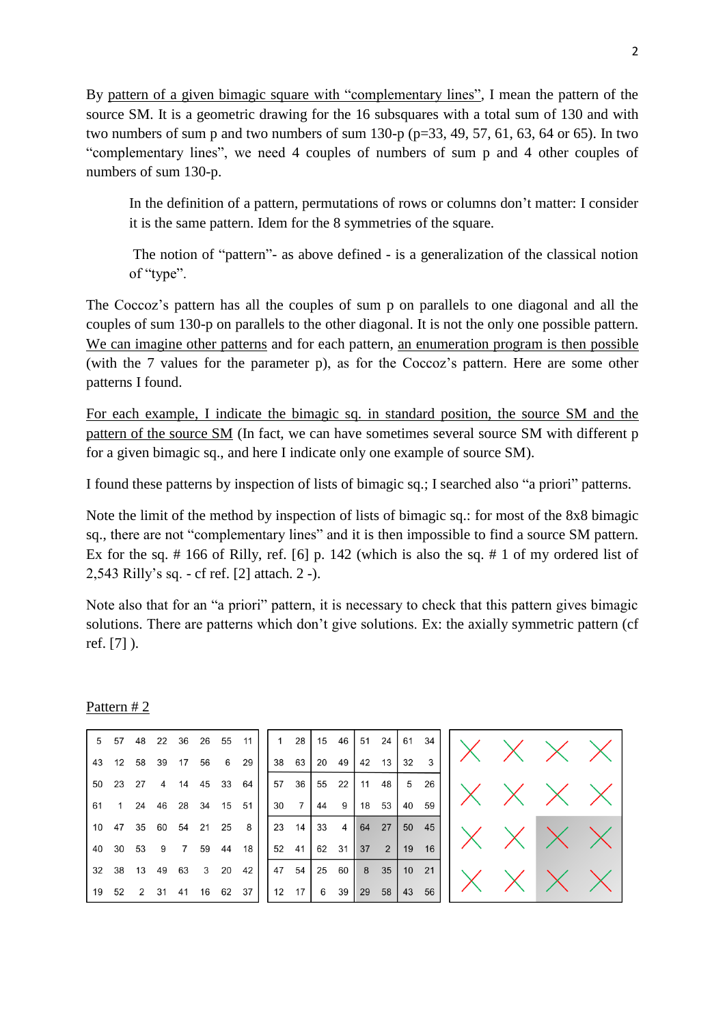By pattern of a given bimagic square with "complementary lines", I mean the pattern of the source SM. It is a geometric drawing for the 16 subsquares with a total sum of 130 and with two numbers of sum p and two numbers of sum 130-p ( $p=33, 49, 57, 61, 63, 64$  or 65). In two "complementary lines", we need 4 couples of numbers of sum p and 4 other couples of numbers of sum 130-p.

In the definition of a pattern, permutations of rows or columns don't matter: I consider it is the same pattern. Idem for the 8 symmetries of the square.

The notion of "pattern"- as above defined - is a generalization of the classical notion of "type".

The Coccoz's pattern has all the couples of sum p on parallels to one diagonal and all the couples of sum 130-p on parallels to the other diagonal. It is not the only one possible pattern. We can imagine other patterns and for each pattern, an enumeration program is then possible (with the 7 values for the parameter p), as for the Coccoz's pattern. Here are some other patterns I found.

For each example, I indicate the bimagic sq. in standard position, the source SM and the pattern of the source SM (In fact, we can have sometimes several source SM with different p for a given bimagic sq., and here I indicate only one example of source SM).

I found these patterns by inspection of lists of bimagic sq.; I searched also "a priori" patterns.

Note the limit of the method by inspection of lists of bimagic sq.: for most of the 8x8 bimagic sq., there are not "complementary lines" and it is then impossible to find a source SM pattern. Ex for the sq. # 166 of Rilly, ref. [6] p. 142 (which is also the sq. # 1 of my ordered list of 2,543 Rilly's sq. - cf ref. [2] attach. 2 -).

Note also that for an "a priori" pattern, it is necessary to check that this pattern gives bimagic solutions. There are patterns which don't give solutions. Ex: the axially symmetric pattern (cf ref. [7] ).

## Pattern # 2

|  |  | 5 57 48 22 36 26 55 11 |       |      |
|--|--|------------------------|-------|------|
|  |  | 43 12 58 39 17 56      |       | 6 29 |
|  |  | 50 23 27 4 14 45 33 64 |       |      |
|  |  | 61 1 24 46 28 34 15 51 |       |      |
|  |  | 10 47 35 60 54 21 25 8 |       |      |
|  |  | 40 30 53 9 7 59        | 44 18 |      |
|  |  | 32 38 13 49 63 3 20    |       | 42   |
|  |  | 19 52 2 31 41 16 62 37 |       |      |

|    |       |                     | 1 28 15 46 51 24 61 34 |             |              |  |
|----|-------|---------------------|------------------------|-------------|--------------|--|
|    | 38 63 |                     | 20 49   42 13          |             | $32 \quad 3$ |  |
|    | 57 36 |                     |                        |             |              |  |
|    | 30 7  |                     | $ 44 \t9 \t18 \t53$    |             | 40 59        |  |
| 23 |       | $14 \mid 33 \mid 4$ |                        | 64 27 50 45 |              |  |
|    | 52 41 |                     | 62 31 37 2 19 16       |             |              |  |
|    | 47 54 |                     | 25 60 8 35 10 21       |             |              |  |
|    |       |                     | 12 17 6 39 29 58 43 56 |             |              |  |

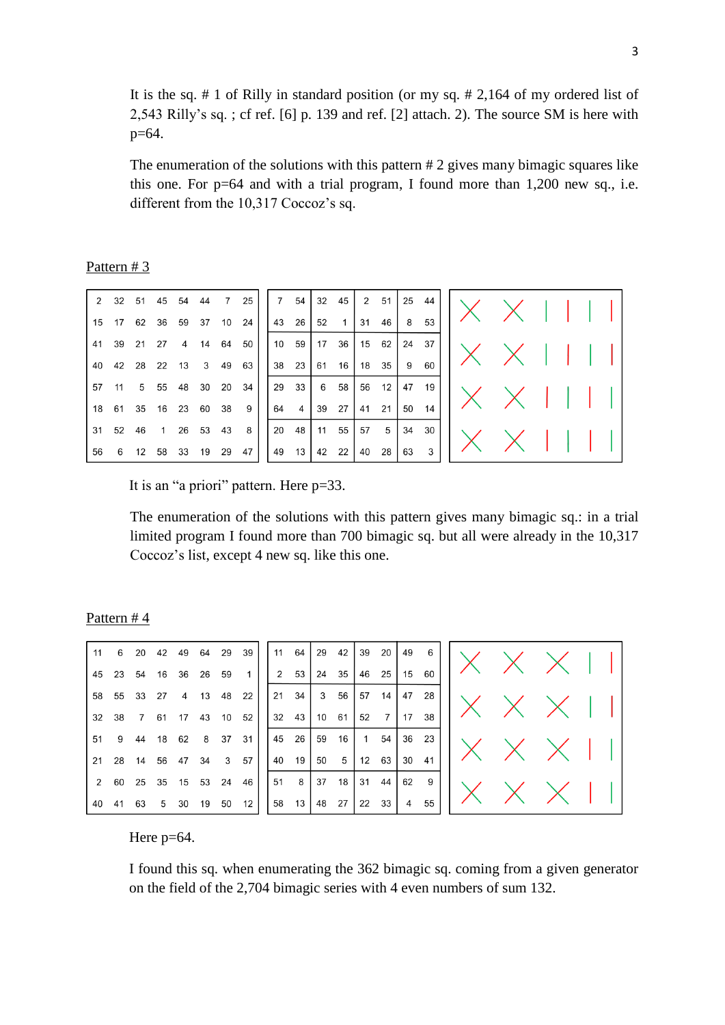It is the sq. # 1 of Rilly in standard position (or my sq. # 2,164 of my ordered list of 2,543 Rilly's sq. ; cf ref. [6] p. 139 and ref. [2] attach. 2). The source SM is here with p=64.

The enumeration of the solutions with this pattern # 2 gives many bimagic squares like this one. For  $p=64$  and with a trial program, I found more than 1,200 new sq., i.e. different from the 10,317 Coccoz's sq.

Pattern # 3

|  |  |  | 2 32 51 45 54 44 7 25   |  |  | $7 \quad 54$   32 $45$  | $2 51$ |              |    | 25 44         |  |  |  |  |
|--|--|--|-------------------------|--|--|-------------------------|--------|--------------|----|---------------|--|--|--|--|
|  |  |  | 15 17 62 36 59 37 10 24 |  |  |                         |        | 46           | 8  | 53            |  |  |  |  |
|  |  |  | 41 39 21 27 4 14 64 50  |  |  | $10$ 59 17 36 15 62     |        |              |    | 24 37         |  |  |  |  |
|  |  |  | 40 42 28 22 13 3 49 63  |  |  | 38 23 61 16 18 35       |        |              | 9  | 60            |  |  |  |  |
|  |  |  | 57 11 5 55 48 30 20 34  |  |  | 2931658                 |        |              |    | 56 12   47 19 |  |  |  |  |
|  |  |  | 18 61 35 16 23 60 38 9  |  |  | $64 \t4 \t39 \t27 \t41$ |        | 21           | 50 | 14            |  |  |  |  |
|  |  |  | 31 52 46 1 26 53 43 8   |  |  | 20 48 11 55             |        | $57 \quad 5$ |    | 34 30         |  |  |  |  |
|  |  |  | 56 6 12 58 33 19 29 47  |  |  | 49 13 42 22 40          |        | 28           | 63 | $\mathbf{3}$  |  |  |  |  |

It is an "a priori" pattern. Here p=33.

The enumeration of the solutions with this pattern gives many bimagic sq.: in a trial limited program I found more than 700 bimagic sq. but all were already in the 10,317 Coccoz's list, except 4 new sq. like this one.

Pattern # 4

| $\vert$ 11 | 6           | 20             |                | 42 49    | 64    |    | 29 39        | $^{\circ}$ 11 | 64            |       | 29 42          | 39 20 |               | 49             | 6     |  |  |  |
|------------|-------------|----------------|----------------|----------|-------|----|--------------|---------------|---------------|-------|----------------|-------|---------------|----------------|-------|--|--|--|
| 45         | 23 54       |                | 16             | 36       | 26    | 59 | $1 \vert$    |               | 2 53          |       | 24 35          |       | $ 46 \t25 $   | 15             | 60    |  |  |  |
|            | 58 55 33 27 |                |                | 4        | 13 48 |    | 22           |               | 21 34         |       | 3 56           | 57    | 14 I          | 47 28          |       |  |  |  |
| 32 38      |             | $\overline{7}$ | 61             | 17       | 43    |    | 10 52        |               | $32 \quad 43$ | 10 61 |                | 52    |               | 7   17         | 38    |  |  |  |
| 51         |             | 9 44           | 18 62          |          |       |    | 8 37 31      |               | 45 26         | 59    | 16             |       | 1 54          |                | 36 23 |  |  |  |
| 21         |             | 28 14          | 56             | 47       | 34    |    | $3 \quad 57$ | 40            | 19            | 50    | 5 <sub>1</sub> | 12 63 |               | 30             | 41    |  |  |  |
|            | 2 60 25 35  |                |                | 15 53 24 |       |    | 46           |               | 51 8          | 37    | 18             |       | $31 \quad 44$ | 62             | 9     |  |  |  |
| 40 41      |             | 63             | 5 <sup>5</sup> | 30       | 19    | 50 | 12           | 58            | 13            |       | 48 27          | 22 33 |               | $\overline{4}$ | 55    |  |  |  |

Here  $p=64$ .

I found this sq. when enumerating the 362 bimagic sq. coming from a given generator on the field of the 2,704 bimagic series with 4 even numbers of sum 132.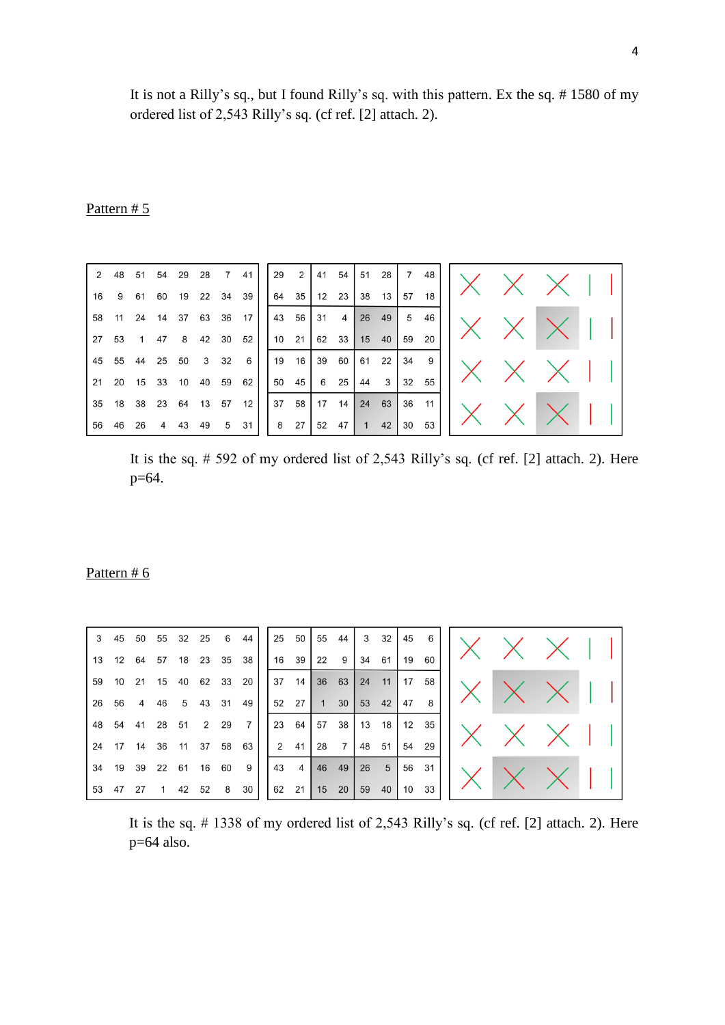It is not a Rilly's sq., but I found Rilly's sq. with this pattern. Ex the sq. # 1580 of my ordered list of 2,543 Rilly's sq. (cf ref. [2] attach. 2).

# Pattern # 5

| 2           | 48   | 51 | 54 | 29 | 28 |                | 41 | 29 | $2 \rightarrow$ | 41    | 54    | 51             | 28 | $7\overline{ }$ | 48  |  |  |  |
|-------------|------|----|----|----|----|----------------|----|----|-----------------|-------|-------|----------------|----|-----------------|-----|--|--|--|
| 16          | 9    | 61 | 60 | 19 |    | 22 34          | 39 |    | 64 35           |       | 12 23 | 38             | 13 | 57              | 18  |  |  |  |
| 58          | 11   | 24 | 14 | 37 | 63 | 36             | 17 |    | 43 56           | 31    | 4     | 26             | 49 | 5               | 46  |  |  |  |
| $\sqrt{27}$ | 53   |    | 47 | 8  |    | 42 30          | 52 |    | $10 \quad 21$   | 62 33 |       | 15             | 40 | 59              | 20  |  |  |  |
| 45          | 55   | 44 | 25 | 50 | 3  | 32             | 6  |    | 19 16           | 39    | 60    | 61             | 22 | 34              | - 9 |  |  |  |
| $\sqrt{21}$ | 20   | 15 | 33 | 10 | 40 | 59             | 62 |    | 50 45           | 6     | 25    | 44             | 3  | 32              | 55  |  |  |  |
| 35          | 18   | 38 | 23 | 64 | 13 | 57             | 12 |    | 37 58           | 17    | 14    | 24 63          |    | 36 11           |     |  |  |  |
| 56          | - 46 | 26 | 4  | 43 | 49 | 5 <sup>5</sup> | 31 | 8  | $27 \mid$       |       | 52 47 | $\overline{1}$ | 42 | 30              | 53  |  |  |  |

It is the sq. # 592 of my ordered list of 2,543 Rilly's sq. (cf ref. [2] attach. 2). Here p=64.

# Pattern # 6

| 3            | 45 50 |    |                | 55 32 25          | 6    | 44                 |    | 25 50         |             | 55 44      |    | 3 32          | 45    | 6     |  |  |  |
|--------------|-------|----|----------------|-------------------|------|--------------------|----|---------------|-------------|------------|----|---------------|-------|-------|--|--|--|
| $ 13\rangle$ | 12    | 64 | 57             | 18 23 35 38       |      |                    |    | 16 39         | 22          | 9          | 34 | 61            | 19    | 60    |  |  |  |
| 59           | 10    |    |                | 21 15 40 62 33 20 |      |                    |    | $37 \quad 14$ |             | 36 63      |    | $24 \quad 11$ | 17    | 58    |  |  |  |
| 26           | 56    | 4  | 46             |                   |      | 5 43 31 49         |    |               |             | 52 27 1 30 |    | 53 42         | 47    | - 8   |  |  |  |
| 48           |       |    |                |                   |      | 54 41 28 51 2 29 7 |    | 23 64         |             | 57 38      |    | $13 \quad 18$ |       | 12 35 |  |  |  |
| 24           | 17    | 14 | 36             | 11 37 58 63       |      |                    |    | 2 41          | 28          | <b>7</b>   | 48 | 51            | 54    | 29    |  |  |  |
| 34           |       |    |                | 19 39 22 61 16    | 60   | 9                  | 43 | 4             |             | 46 49      |    | $26 \quad 5$  | 56 31 |       |  |  |  |
|              | 53 47 | 27 | $\overline{1}$ | 42 52             | 8 30 |                    |    |               | 62 21 15 20 |            | 59 | 40'           |       | 10 33 |  |  |  |

It is the sq. # 1338 of my ordered list of 2,543 Rilly's sq. (cf ref. [2] attach. 2). Here p=64 also.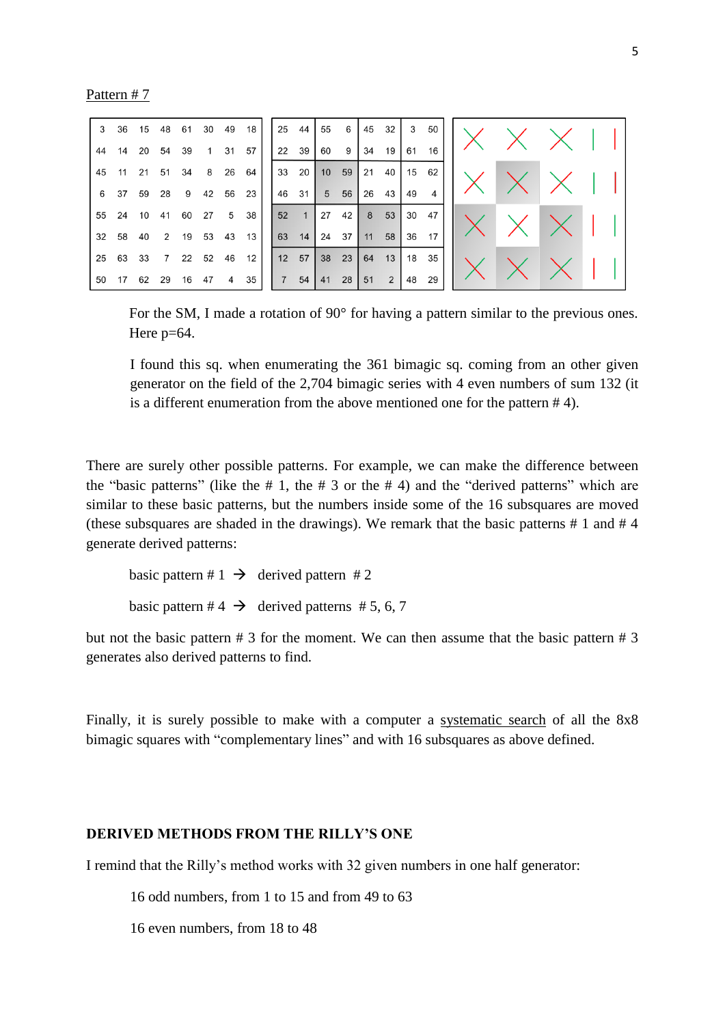Pattern # 7

| 3     |          |       |    |       |  | 36 15 48 61 30 49 18 |  |  | $25 \t44 \t55 \t6$ |       | 45 32 | $\overline{\mathbf{3}}$ | 50         |  |  |  |
|-------|----------|-------|----|-------|--|----------------------|--|--|--------------------|-------|-------|-------------------------|------------|--|--|--|
| 44    | 14       | 20    |    | 54 39 |  | 1 31 57              |  |  | $22 \t39 \t60 \t9$ | 34    | 19    | 61                      | 16         |  |  |  |
|       | 45 11    |       |    |       |  | 21 51 34 8 26 64     |  |  | 33 20 10 59        |       | 21 40 |                         | $15 \t 62$ |  |  |  |
|       | 6 37     | 59 28 |    |       |  | 9 42 56 23           |  |  | 46 31 5 56 26      |       | 43    | 49                      | $4 \cdot$  |  |  |  |
|       | 55 24    |       |    |       |  | 10 41 60 27 5 38     |  |  | $52 \t1 \t27 \t42$ |       | 8 53  |                         | 30 47      |  |  |  |
|       | 32 58    | 40    |    |       |  | 2 19 53 43 13        |  |  | 63 14 24 37        | 11 58 |       |                         | 36 17      |  |  |  |
|       | 25 63 33 |       |    |       |  | 7 22 52 46 12        |  |  | 12 57 38 23        |       | 64 13 |                         | 18 35      |  |  |  |
| 50 17 |          | 62    | 29 |       |  | 16 47 4 35           |  |  | 7 54 41 28         | 51    | 2     |                         | 48 29      |  |  |  |

For the SM, I made a rotation of 90° for having a pattern similar to the previous ones. Here  $p=64$ .

I found this sq. when enumerating the 361 bimagic sq. coming from an other given generator on the field of the 2,704 bimagic series with 4 even numbers of sum 132 (it is a different enumeration from the above mentioned one for the pattern # 4).

There are surely other possible patterns. For example, we can make the difference between the "basic patterns" (like the  $# 1$ , the  $# 3$  or the  $# 4$ ) and the "derived patterns" which are similar to these basic patterns, but the numbers inside some of the 16 subsquares are moved (these subsquares are shaded in the drawings). We remark that the basic patterns # 1 and # 4 generate derived patterns:

basic pattern #  $1 \rightarrow$  derived pattern # 2 basic pattern # 4  $\rightarrow$  derived patterns # 5, 6, 7

but not the basic pattern # 3 for the moment. We can then assume that the basic pattern # 3 generates also derived patterns to find.

Finally, it is surely possible to make with a computer a systematic search of all the 8x8 bimagic squares with "complementary lines" and with 16 subsquares as above defined.

# **DERIVED METHODS FROM THE RILLY'S ONE**

I remind that the Rilly's method works with 32 given numbers in one half generator:

16 odd numbers, from 1 to 15 and from 49 to 63

16 even numbers, from 18 to 48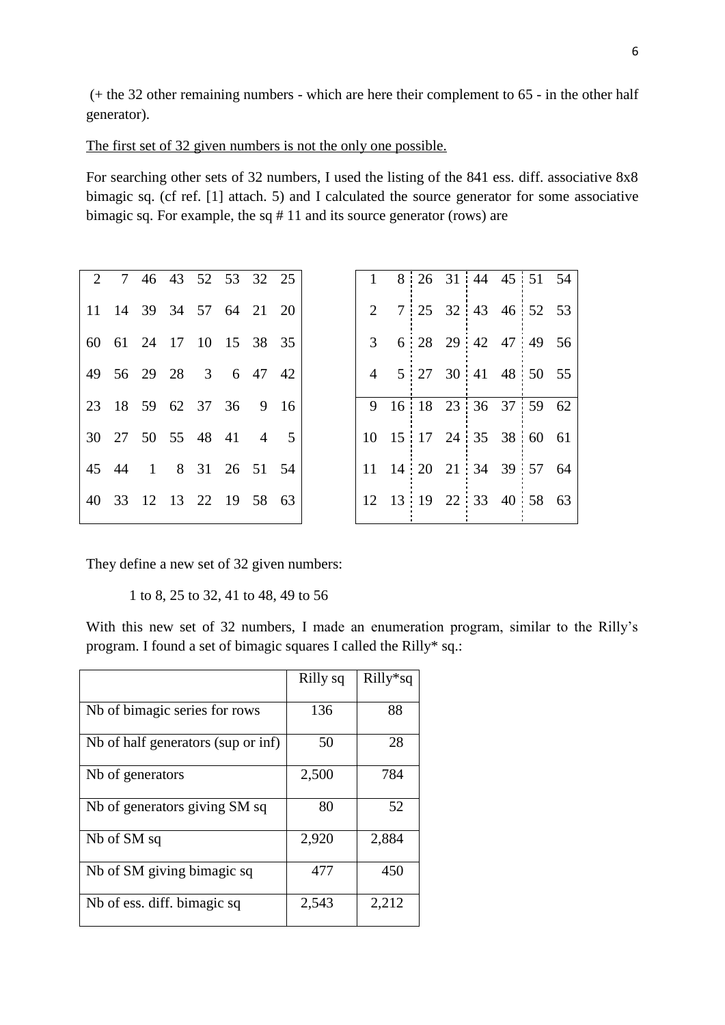(+ the 32 other remaining numbers - which are here their complement to 65 - in the other half generator).

The first set of 32 given numbers is not the only one possible.

For searching other sets of 32 numbers, I used the listing of the 841 ess. diff. associative 8x8 bimagic sq. (cf ref. [1] attach. 5) and I calculated the source generator for some associative bimagic sq. For example, the sq # 11 and its source generator (rows) are

|  | 2 7 46 43 52 53 32 25   |  |  |  |  |  | 1 8 26 31 44 45 51 54   |  |
|--|-------------------------|--|--|--|--|--|-------------------------|--|
|  | 11 14 39 34 57 64 21 20 |  |  |  |  |  | 2 7 25 32 43 46 52 53   |  |
|  | 60 61 24 17 10 15 38 35 |  |  |  |  |  | 3 6 28 29 42 47 49 56   |  |
|  | 49 56 29 28 3 6 47 42   |  |  |  |  |  | 4 5 27 30 41 48 50 55   |  |
|  | 23 18 59 62 37 36 9 16  |  |  |  |  |  | 9 16 18 23 36 37 59 62  |  |
|  | 30 27 50 55 48 41 4 5   |  |  |  |  |  | 10 15 17 24 35 38 60 61 |  |
|  | 45 44 1 8 31 26 51 54   |  |  |  |  |  | 11 14 20 21 34 39 57 64 |  |
|  | 40 33 12 13 22 19 58 63 |  |  |  |  |  | 12 13 19 22 33 40 58 63 |  |
|  |                         |  |  |  |  |  |                         |  |

They define a new set of 32 given numbers:

1 to 8, 25 to 32, 41 to 48, 49 to 56

With this new set of 32 numbers, I made an enumeration program, similar to the Rilly's program. I found a set of bimagic squares I called the Rilly\* sq.:

|                                    | Rilly sq | $Rilly*sq$ |
|------------------------------------|----------|------------|
| Nb of bimagic series for rows      | 136      | 88         |
| Nb of half generators (sup or inf) | 50       | 28         |
| Nb of generators                   | 2,500    | 784        |
| Nb of generators giving SM sq      | 80       | 52         |
| Nb of SM sq                        | 2,920    | 2,884      |
| Nb of SM giving bimagic sq         | 477      | 450        |
| Nb of ess. diff. bimagic sq        | 2,543    | 2,212      |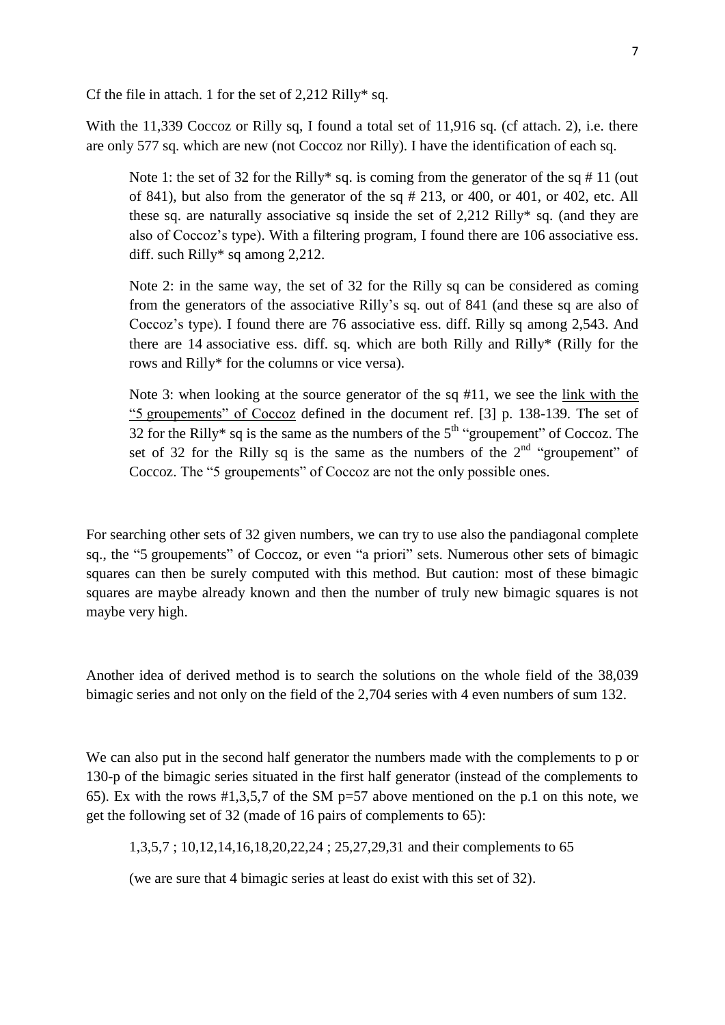Cf the file in attach. 1 for the set of  $2,212$  Rilly\* sq.

With the 11,339 Coccoz or Rilly sq, I found a total set of 11,916 sq. (cf attach. 2), i.e. there are only 577 sq. which are new (not Coccoz nor Rilly). I have the identification of each sq.

Note 1: the set of 32 for the Rilly\* sq. is coming from the generator of the sq  $\# 11$  (out of 841), but also from the generator of the sq # 213, or 400, or 401, or 402, etc. All these sq. are naturally associative sq inside the set of 2,212 Rilly\* sq. (and they are also of Coccoz's type). With a filtering program, I found there are 106 associative ess. diff. such Rilly\* sq among 2,212.

Note 2: in the same way, the set of 32 for the Rilly sq can be considered as coming from the generators of the associative Rilly's sq. out of 841 (and these sq are also of Coccoz's type). I found there are 76 associative ess. diff. Rilly sq among 2,543. And there are 14 associative ess. diff. sq. which are both Rilly and Rilly\* (Rilly for the rows and Rilly\* for the columns or vice versa).

Note 3: when looking at the source generator of the sq #11, we see the link with the "5 groupements" of Coccoz defined in the document ref. [3] p. 138-139. The set of 32 for the Rilly\* sq is the same as the numbers of the  $5<sup>th</sup>$  "groupement" of Coccoz. The set of 32 for the Rilly sq is the same as the numbers of the  $2<sup>nd</sup>$  "groupement" of Coccoz. The "5 groupements" of Coccoz are not the only possible ones.

For searching other sets of 32 given numbers, we can try to use also the pandiagonal complete sq., the "5 groupements" of Coccoz, or even "a priori" sets. Numerous other sets of bimagic squares can then be surely computed with this method. But caution: most of these bimagic squares are maybe already known and then the number of truly new bimagic squares is not maybe very high.

Another idea of derived method is to search the solutions on the whole field of the 38,039 bimagic series and not only on the field of the 2,704 series with 4 even numbers of sum 132.

We can also put in the second half generator the numbers made with the complements to p or 130-p of the bimagic series situated in the first half generator (instead of the complements to 65). Ex with the rows  $\#1,3,5,7$  of the SM p=57 above mentioned on the p.1 on this note, we get the following set of 32 (made of 16 pairs of complements to 65):

1,3,5,7 ; 10,12,14,16,18,20,22,24 ; 25,27,29,31 and their complements to 65

(we are sure that 4 bimagic series at least do exist with this set of 32).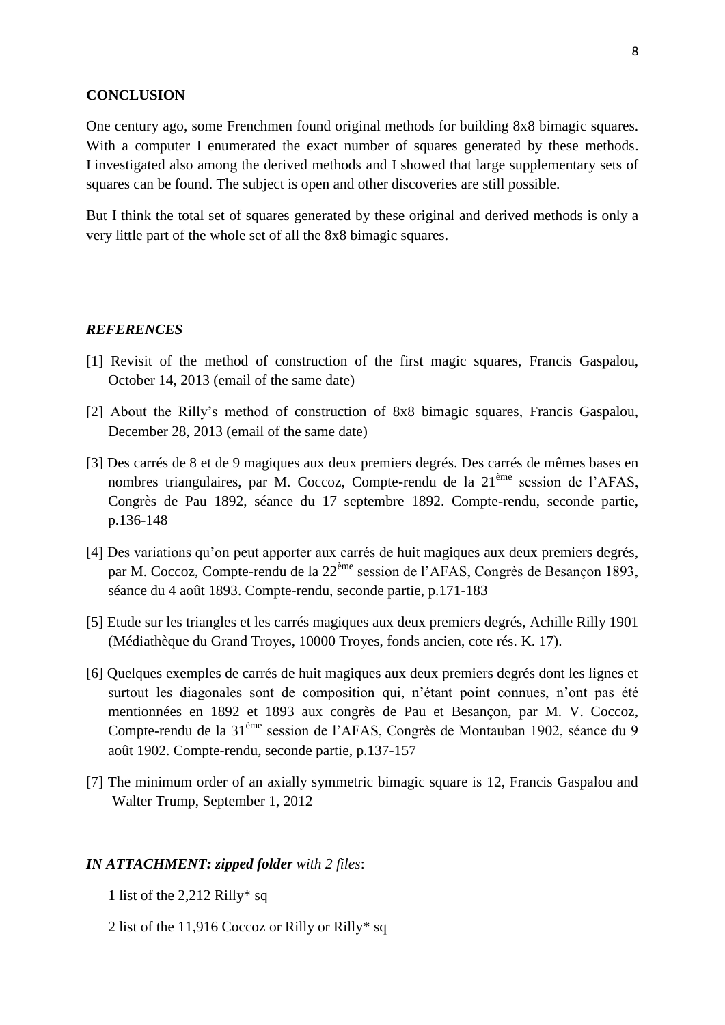#### **CONCLUSION**

One century ago, some Frenchmen found original methods for building 8x8 bimagic squares. With a computer I enumerated the exact number of squares generated by these methods. I investigated also among the derived methods and I showed that large supplementary sets of squares can be found. The subject is open and other discoveries are still possible.

But I think the total set of squares generated by these original and derived methods is only a very little part of the whole set of all the 8x8 bimagic squares.

### *REFERENCES*

- [1] Revisit of the method of construction of the first magic squares, Francis Gaspalou, October 14, 2013 (email of the same date)
- [2] About the Rilly's method of construction of 8x8 bimagic squares, Francis Gaspalou, December 28, 2013 (email of the same date)
- [3] Des carrés de 8 et de 9 magiques aux deux premiers degrés. Des carrés de mêmes bases en nombres triangulaires, par M. Coccoz, Compte-rendu de la 21<sup>ème</sup> session de l'AFAS. Congrès de Pau 1892, séance du 17 septembre 1892. Compte-rendu, seconde partie, p.136-148
- [4] Des variations qu'on peut apporter aux carrés de huit magiques aux deux premiers degrés, par M. Coccoz, Compte-rendu de la 22ème session de l'AFAS, Congrès de Besançon 1893, séance du 4 août 1893. Compte-rendu, seconde partie, p.171-183
- [5] Etude sur les triangles et les carrés magiques aux deux premiers degrés, Achille Rilly 1901 (Médiathèque du Grand Troyes, 10000 Troyes, fonds ancien, cote rés. K. 17).
- [6] Quelques exemples de carrés de huit magiques aux deux premiers degrés dont les lignes et surtout les diagonales sont de composition qui, n'étant point connues, n'ont pas été mentionnées en 1892 et 1893 aux congrès de Pau et Besançon, par M. V. Coccoz, Compte-rendu de la 31ème session de l'AFAS, Congrès de Montauban 1902, séance du 9 août 1902. Compte-rendu, seconde partie, p.137-157
- [7] The minimum order of an axially symmetric bimagic square is 12, Francis Gaspalou and Walter Trump, September 1, 2012

#### *IN ATTACHMENT: zipped folder with 2 files*:

- 1 list of the 2,212 Rilly\* sq
- 2 list of the 11,916 Coccoz or Rilly or Rilly\* sq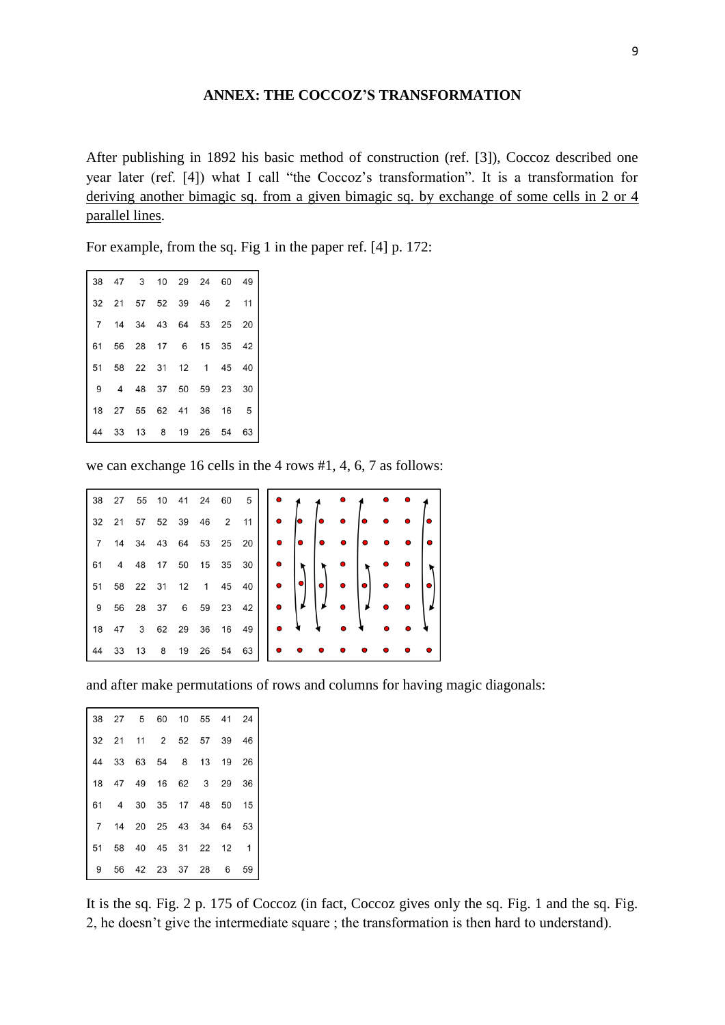# **ANNEX: THE COCCOZ'S TRANSFORMATION**

After publishing in 1892 his basic method of construction (ref. [3]), Coccoz described one year later (ref. [4]) what I call "the Coccoz's transformation". It is a transformation for deriving another bimagic sq. from a given bimagic sq. by exchange of some cells in 2 or 4 parallel lines.

For example, from the sq. Fig 1 in the paper ref. [4] p. 172:

|    | 38 47 3 10 29 24 60 49        |  |  |    |
|----|-------------------------------|--|--|----|
|    | 32  21  57  52  39  46  2  11 |  |  |    |
|    | 7 14 34 43 64 53 25 20        |  |  |    |
|    | 61 56 28 17 6 15 35 42        |  |  |    |
|    | 51 58 22 31 12 1 45 40        |  |  |    |
|    | 9  4  48  37  50  59  23  30  |  |  |    |
|    | 18 27 55 62 41 36 16 5        |  |  |    |
| 44 | 33 13 8 19 26 54              |  |  | 63 |

we can exchange 16 cells in the 4 rows #1, 4, 6, 7 as follows:

|                       | 38 27 55 10 41 24 60 5     $\bullet$ |  |  |  |                                                                                                                                                                                                                                                                                                                                                                                                                                                                                 |  |           |  |                     |  |
|-----------------------|--------------------------------------|--|--|--|---------------------------------------------------------------------------------------------------------------------------------------------------------------------------------------------------------------------------------------------------------------------------------------------------------------------------------------------------------------------------------------------------------------------------------------------------------------------------------|--|-----------|--|---------------------|--|
|                       | 32 21 57 52 39 46 2 11               |  |  |  | $\begin{array}{ c c c c c }\n\hline\n\bullet & \multicolumn{1}{ c }{\bullet} & \multicolumn{1}{ c }{\bullet} & \multicolumn{1}{ c }{\bullet} & \multicolumn{1}{ c }{\bullet} & \multicolumn{1}{ c }{\bullet} & \multicolumn{1}{ c }{\bullet} & \multicolumn{1}{ c }{\bullet} & \multicolumn{1}{ c }{\bullet} & \multicolumn{1}{ c }{\bullet} & \multicolumn{1}{ c }{\bullet} & \multicolumn{1}{ c }{\bullet} & \multicolumn{1}{ c }{\bullet} & \multicolumn{1}{ c }{\bullet} &$ |  |           |  |                     |  |
|                       |                                      |  |  |  | 7 14 34 43 64 53 25 20    $\bullet$   $\bullet$   $\bullet$ $\bullet$                                                                                                                                                                                                                                                                                                                                                                                                           |  |           |  |                     |  |
|                       | 61 4 48 17 50 15 35 30               |  |  |  | $ \cdot _{\Upsilon} $                                                                                                                                                                                                                                                                                                                                                                                                                                                           |  | $\bullet$ |  |                     |  |
|                       | 51 58 22 31 12 1 45 40               |  |  |  | $\bullet$ $\bullet$ $\bullet$ $\bullet$ $\bullet$                                                                                                                                                                                                                                                                                                                                                                                                                               |  |           |  | $\bullet$ $\bullet$ |  |
| 9 56 28 37 6 59 23 42 |                                      |  |  |  | $\bullet$                                                                                                                                                                                                                                                                                                                                                                                                                                                                       |  | $\bullet$ |  |                     |  |
|                       | 18 47 3 62 29 36 16 49               |  |  |  | $\bullet$ $\bullet$                                                                                                                                                                                                                                                                                                                                                                                                                                                             |  |           |  |                     |  |
|                       | 44 33 13 8 19 26 54 63     $\bullet$ |  |  |  |                                                                                                                                                                                                                                                                                                                                                                                                                                                                                 |  |           |  |                     |  |

and after make permutations of rows and columns for having magic diagonals:

|  |  |                        | 38 27 5 60 10 55 41 24                                               |
|--|--|------------------------|----------------------------------------------------------------------|
|  |  |                        | 32 21 11 2 52 57 39 46                                               |
|  |  |                        | $\begin{vmatrix} 44 & 33 & 63 & 54 & 8 & 13 & 19 & 26 \end{vmatrix}$ |
|  |  |                        | 18 47 49 16 62 3 29 36                                               |
|  |  |                        | 61 4 30 35 17 48 50 15                                               |
|  |  |                        | 7 14 20 25 43 34 64 53                                               |
|  |  | 51 58 40 45 31 22 12 1 |                                                                      |
|  |  |                        | $9 \t56 \t42 \t23 \t37 \t28 \t6 \t59$                                |

It is the sq. Fig. 2 p. 175 of Coccoz (in fact, Coccoz gives only the sq. Fig. 1 and the sq. Fig. 2, he doesn't give the intermediate square ; the transformation is then hard to understand).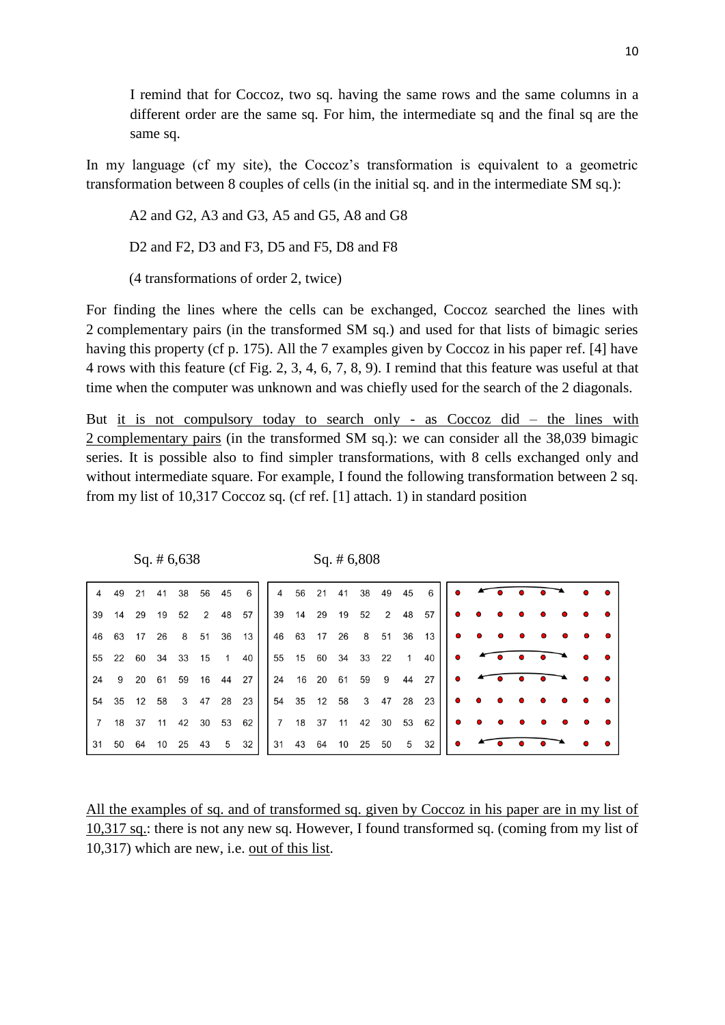I remind that for Coccoz, two sq. having the same rows and the same columns in a different order are the same sq. For him, the intermediate sq and the final sq are the same sq.

In my language (cf my site), the Coccoz's transformation is equivalent to a geometric transformation between 8 couples of cells (in the initial sq. and in the intermediate SM sq.):

A2 and G2, A3 and G3, A5 and G5, A8 and G8

D2 and F2, D3 and F3, D5 and F5, D8 and F8

(4 transformations of order 2, twice)

For finding the lines where the cells can be exchanged, Coccoz searched the lines with 2 complementary pairs (in the transformed SM sq.) and used for that lists of bimagic series having this property (cf p. 175). All the 7 examples given by Coccoz in his paper ref. [4] have 4 rows with this feature (cf Fig. 2, 3, 4, 6, 7, 8, 9). I remind that this feature was useful at that time when the computer was unknown and was chiefly used for the search of the 2 diagonals.

But it is not compulsory today to search only - as Coccoz did – the lines with 2 complementary pairs (in the transformed SM sq.): we can consider all the 38,039 bimagic series. It is possible also to find simpler transformations, with 8 cells exchanged only and without intermediate square. For example, I found the following transformation between 2 sq. from my list of 10,317 Coccoz sq. (cf ref. [1] attach. 1) in standard position

|  |  |  | 39 14 29 19 52 2 48 57 |  |  |  |  |                                                             |  |  |  |  |
|--|--|--|------------------------|--|--|--|--|-------------------------------------------------------------|--|--|--|--|
|  |  |  |                        |  |  |  |  |                                                             |  |  |  |  |
|  |  |  |                        |  |  |  |  | 55 22 60 34 33 15 1 40    55 15 60 34 33 22 1 40    ●       |  |  |  |  |
|  |  |  |                        |  |  |  |  | 24 9 20 61 59 16 44 27   24 16 20 61 59 9 44 27   $\bullet$ |  |  |  |  |
|  |  |  | 54 35 12 58 3 47 28 23 |  |  |  |  |                                                             |  |  |  |  |
|  |  |  |                        |  |  |  |  |                                                             |  |  |  |  |
|  |  |  |                        |  |  |  |  |                                                             |  |  |  |  |

Sq. # 6,638 Sq. # 6,808

All the examples of sq. and of transformed sq. given by Coccoz in his paper are in my list of 10,317 sq.: there is not any new sq. However, I found transformed sq. (coming from my list of 10,317) which are new, i.e. out of this list.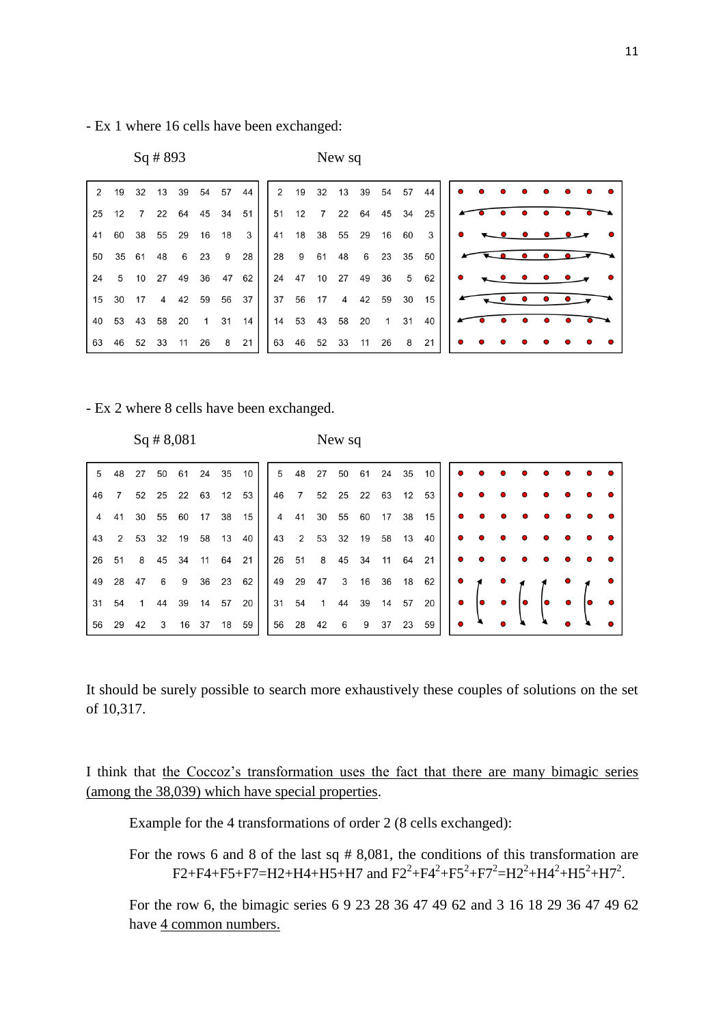- Ex 1 where 16 cells have been exchanged:

| $Sq$ # 893 | New sq |
|------------|--------|
|            |        |

|  |  |  |  |  |  |  |  | 25 12 7 22 64 45 34 51   51 12 7 22 64 45 34 25   $\bullet$ $\bullet$ $\bullet$ $\bullet$                                                          |
|--|--|--|--|--|--|--|--|----------------------------------------------------------------------------------------------------------------------------------------------------|
|  |  |  |  |  |  |  |  |                                                                                                                                                    |
|  |  |  |  |  |  |  |  |                                                                                                                                                    |
|  |  |  |  |  |  |  |  | 24 5 10 27 49 36 47 62   24 47 10 27 49 36 5 62   $\bullet$ $\bullet$ $\bullet$ $\bullet$ $\bullet$                                                |
|  |  |  |  |  |  |  |  | 15 30 17 4 42 59 56 37 37 56 17 4 42 59 30 15                                                                                                      |
|  |  |  |  |  |  |  |  |                                                                                                                                                    |
|  |  |  |  |  |  |  |  | $\begin{array}{ c ccccccccccc }\n63 & 46 & 52 & 33 & 11 & 26 & 8 & 21 & 63 & 46 & 52 & 33 & 11 & 26 & 8 & 21 & 0 & 0 & 0 & 0 & 0 & 0\n\end{array}$ |

## - Ex 2 where 8 cells have been exchanged.

| $Sq$ # 8,08 |  |  |  |
|-------------|--|--|--|
|-------------|--|--|--|

 $81$  New sq

| 5 |  |  |  |                        |  |  |  |  | 48 27 50 61 24 35 10   5 48 27 50 61 24 35 10               | $\overline{\phantom{a}}$                                     |  |  |  |  |
|---|--|--|--|------------------------|--|--|--|--|-------------------------------------------------------------|--------------------------------------------------------------|--|--|--|--|
|   |  |  |  | 46 7 52 25 22 63 12 53 |  |  |  |  | 46 7 52 25 22 63 12 53                                      |                                                              |  |  |  |  |
|   |  |  |  |                        |  |  |  |  | 4 41 30 55 60 17 38 15   4 41 30 55 60 17 38 15   $\bullet$ |                                                              |  |  |  |  |
|   |  |  |  | 43 2 53 32 19 58 13 40 |  |  |  |  |                                                             |                                                              |  |  |  |  |
|   |  |  |  |                        |  |  |  |  | 26 51 8 45 34 11 64 21   26 51 8 45 34 11 64 21   $\bullet$ |                                                              |  |  |  |  |
|   |  |  |  | 49 28 47 6 9 36 23 62  |  |  |  |  | 49 29 47 3 16 36 18 62                                      | $\begin{array}{ccc} \bullet & \bullet & \bullet \end{array}$ |  |  |  |  |
|   |  |  |  | 31 54 1 44 39 14 57 20 |  |  |  |  |                                                             |                                                              |  |  |  |  |
|   |  |  |  | 56 29 42 3 16 37 18 59 |  |  |  |  | 56 28 42 6 9 37 23 59                                       | $\bullet$ $\bullet$                                          |  |  |  |  |

It should be surely possible to search more exhaustively these couples of solutions on the set of 10,317.

I think that the Coccoz's transformation uses the fact that there are many bimagic series (among the 38,039) which have special properties.

Example for the 4 transformations of order 2 (8 cells exchanged):

For the rows 6 and 8 of the last sq # 8,081, the conditions of this transformation are  $F2 + F4 + F5 + F7 = H2 + H4 + H5 + H7$  and  $F2^2 + F4^2 + F5^2 + F7^2 = H2^2 + H4^2 + H5^2 + H7^2$ .

For the row 6, the bimagic series 6 9 23 28 36 47 49 62 and 3 16 18 29 36 47 49 62 have 4 common numbers.